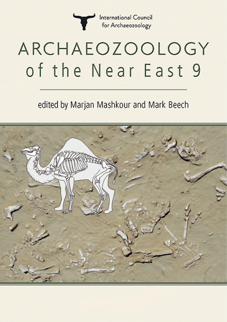International Council<br>for Archaeozoology

# ARCHAEOZOOLOGY of the Near East 9

edited by Marjan Mashkour and Mark Beech

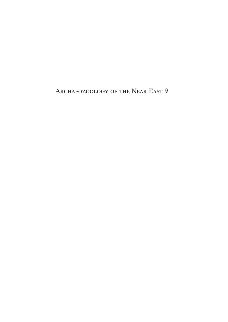ARCHAEOZOOLOGY OF THE NEAR EAST 9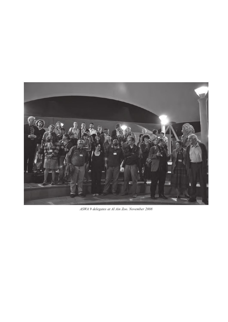

*ASWA 9 delegates at Al Ain Zoo. November 2008*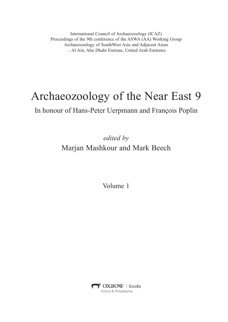International Council of Archaeozoology (ICAZ) Proceedings of the 9th conference of the ASWA (AA) Working Group Archaeozoology of SouthWest Asia and Adjacent Areas – Al Ain, Abu Dhabi Emirate, United Arab Emirates

# Archaeozoology of the Near East 9

In honour of Hans-Peter Uerpmann and François Poplin

*edited by*  Marjan Mashkour and Mark Beech

Volume 1

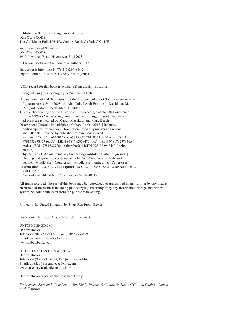Published in the United Kingdom in 2017 by OXBOW BOOKS The Old Music Hall, 106–108 Cowley Road, Oxford, OX4 1JE

and in the United States by OXBOW BOOKS 1950 Lawrence Road, Havertown, PA 19083

© Oxbow Books and the individual authors 2017

Hardcover Edition: ISBN 978-1-78297-844-2 Digital Edition: ISBN 978-1-78297-845-9 (epub)

A CIP record for this book is available from the British Library

Library of Congress Cataloging-in-Publication Data

Names: International Symposium on the Archaeozoology of Southwestern Asia and Adjacent Areas (9th : 2008 : Al Ain, United Arab Emirates) | Mashkour, M. (Marjan), editor. | Beech, Mark J., editor.

Title: Archaeozoology of the Near East 9 : proceedings of the 9th Conference of the ASWA (AA) Working Group : archaeozoology of Southwest Asia and adjacent areas / edited by Marjan Mashkour and Mark Beech.

Description: Oxford ; Philadelphia : Oxbow Books, 2016. | Includes bibliographical references. | Description based on print version record and CIP data provided by publisher; resource not viewed.

Identifers: LCCN 2016040915 (print) | LCCN 2016032516 (ebook) | ISBN 9781782978459 (epub) | ISBN 9781782978473 (pdf) | ISBN 9781782978466 ( mobi) | ISBN 9781782978442 (hardback) | ISBN 9781782948459 (digital edition)

Subjects: LCSH: Animal remains (Archaeology)--Middle East--Congresses. | Hunting and gathering societies--Middle East--Congresses. | Prehistoric peoples--Middle East--Congresses. | Middle East--Antiquities--Congresses.

Classifcation: LCC CC79.5.A5 (print) | LCC CC79.5.A5 I58 2008 (ebook) | DDC 930.1--dc23

LC record available at https://lccn.loc.gov/2016040915

All rights reserved. No part of this book may be reproduced or transmitted in any form or by any means, electronic or mechanical including photocopying, recording or by any information storage and retrieval system, without permission from the publisher in writing.

Printed in the United Kingdom by Short Run Press, Exeter

For a complete list of Oxbow titles, please contact:

UNITED KINGDOM Oxbow Books Telephone (01865) 241249, Fax (01865) 794449 Email: oxbow@oxbowbooks.com www.oxbowbooks.com

UNITED STATES OF AMERICA Oxbow Books Telephone (800) 791-9354, Fax (610) 853-9146 Email: queries@casemateacademic.com www.casemateacademic.com/oxbow

Oxbow Books is part of the Casemate Group

*Front cover: Baynunah Camel site – Abu Dhabi Tourism & Culture Authority (TCA Abu Dhabi) – United Arab Emirates*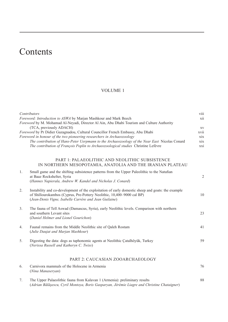# **Contents**

#### VOLUME 1

| <i>Contributors</i>                                                                           | viii           |
|-----------------------------------------------------------------------------------------------|----------------|
| Foreword: Introduction to ASWA by Marjan Mashkour and Mark Beech                              | xii            |
| Foreword by M. Mohamad Al-Neyadi, Director Al Ain, Abu Dhabi Tourism and Culture Authority    |                |
| (TCA, previously ADACH)                                                                       | <b>XV</b>      |
| Foreword by Pr Didier Gazagnadou, Cultural Councillor French Embassy, Abu Dhabi               | xvii           |
| Foreword in honour of the two pioneering researchers in Archaeozoology                        | $\overline{X}$ |
| The contribution of Hans-Peter Uerpmann to the Archaeozoology of the Near East Nicolas Conard | $\overline{x}$ |
| The contribution of François Poplin to Archaeozoological studies Christine Lefèvre            | xxi            |

#### PART 1: PALAEOLITHIC AND NEOLITHIC SUBSISTENCE IN NORTHERN MESOPOTAMIA, ANATOLIA AND THE IRANIAN PLATEAU

| 1. | Small game and the shifting subsistence patterns from the Upper Paleolithic to the Natufian<br>at Baaz Rockshelter, Syria<br>(Hannes Napierala, Andrew W. Kandel and Nicholas J. Conard)                                              | $\mathfrak{2}$ |
|----|---------------------------------------------------------------------------------------------------------------------------------------------------------------------------------------------------------------------------------------|----------------|
| 2. | Instability and co-development of the exploitation of early domestic sheep and goats: the example<br>of Shillourokambos (Cyprus, Pre-Pottery Neolithic, 10,400–9000 cal BP)<br>(Jean-Denis Vigne, Isabelle Carrère and Jean Guilaine) | 10             |
| 3. | The fauna of Tell Aswad (Damascus, Syria), early Neolithic levels. Comparison with northern<br>and southern Levant sites<br>(Daniel Helmer and Lionel Gourichon)                                                                      | 23             |
| 4. | Faunal remains from the Middle Neolithic site of Qaleh Rostam<br>(Julie Daujat and Marjan Mashkour)                                                                                                                                   | 41             |
| 5. | Digesting the data: dogs as taphonomic agents at Neolithic Catalhoyük, Turkey<br>(Nerissa Russell and Katheryn C. Twiss)                                                                                                              | 59             |
|    | PART 2: CAUCASIAN ZOOARCHAEOLOGY                                                                                                                                                                                                      |                |
| 6. | Carnivora mammals of the Holocene in Armenia<br>(Nina Manaseryan)                                                                                                                                                                     | 76             |
| 7. | The Upper Palaeolithic fauna from Kalavan 1 (Armenia): preliminary results<br>(Adrian Bălășescu, Cyril Montoya, Boris Gasparyan, Jérémie Liagre and Christine Chataigner)                                                             | 88             |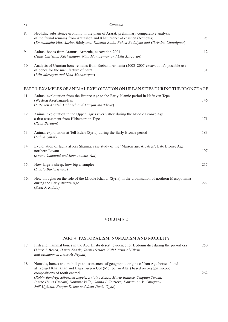| $\overline{vi}$ | Contents                                                                                                                                                                                                                                                         |     |
|-----------------|------------------------------------------------------------------------------------------------------------------------------------------------------------------------------------------------------------------------------------------------------------------|-----|
| 8.              | Neolithic subsistence economy in the plain of Ararat: preliminary comparative analysis<br>of the faunal remains from Aratashen and Khaturnarkh-Aknashen (Armenia)<br>(Emmanuelle Vila, Adrian Bălășescu, Valentin Radu, Ruben Badalyan and Christine Chataigner) | 98  |
| 9.              | Animal bones from Aramus, Armenia, excavation 2004<br>(Hans Christian Küchelmann, Nina Manaseryan and Lilit Mirzoyan)                                                                                                                                            | 112 |
| 10.             | Analysis of Urartian bone remains from Erebuni, Armenia (2003-2007 excavations): possible use<br>of bones for the manufacture of paint<br>(Lilit Mirzoyan and Nina Manaseryan)                                                                                   | 131 |
|                 | PART 3. EXAMPLES OF ANIMAL EXPLOITATION ON URBAN SITES DURING THE BRONZE AGE                                                                                                                                                                                     |     |
| 11.             | Animal exploitation from the Bronze Age to the Early Islamic period in Haftavan Tepe<br>(Western Azerbaijan-Iran)<br>(Fatemeh Azadeh Mohaseb and Marjan Mashkour)                                                                                                | 146 |
| 12.             | Animal exploitation in the Upper Tigris river valley during the Middle Bronze Age:<br>a first assessment from Hirbemerdon Tepe<br>(Rémi Berthon)                                                                                                                 | 171 |
| 13.             | Animal exploitation at Tell Bderi (Syria) during the Early Bronze period<br>(Lubna Omar)                                                                                                                                                                         | 183 |
| 14.             | Exploitation of fauna at Ras Shamra: case study of the 'Maison aux Albâtres', Late Bronze Age,<br>northern Levant<br>(Jwana Chahoud and Emmanuelle Vila)                                                                                                         | 197 |
| 15.             | How large a sheep, how big a sample?<br>(Laszlo Bartosiewicz)                                                                                                                                                                                                    | 217 |
| 16.             | New thoughts on the role of the Middle Khabur (Syria) in the urbanisation of northern Mesopotamia<br>during the Early Bronze Age<br>(Scott J. Rufolo)                                                                                                            | 227 |

#### VOLUME 2

#### PART 4. PASTORALISM, NOMADISM AND MOBILITY

| 17. | Fish and mammal bones in the Abu Dhabi desert: evidence for Bedouin diet during the pre-oil era<br>(Mark J. Beech, Hanae Sasaki, Tatsuo Sasaki, Walid Yasin Al-Tikriti<br>and Mohammed Amer Al-Neyadi)          | 250 |
|-----|-----------------------------------------------------------------------------------------------------------------------------------------------------------------------------------------------------------------|-----|
| 18. | Nomads, horses and mobility: an assessment of geographic origins of Iron Age horses found<br>at Tsengel Khairkhan and Baga Turgen Gol (Mongolian Altai) based on oxygen isotope<br>compositions of tooth enamel | 262 |
|     | (Robin Bendrey, Sébastien Lepetz, Antoine Zazzo, Marie Balasse, Tsagaan Turbat,<br>Pierre Henri Giscard, Dominic Vella, Ganna I. Zaitseva, Konstantin V. Chugunov,                                              |     |
|     | Joël Ughetto, Karyne Debue and Jean-Denis Vigne)                                                                                                                                                                |     |

vi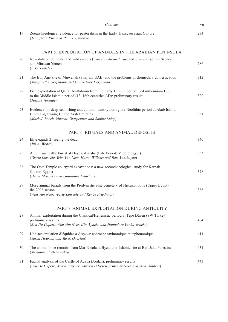|     | Contents                                                                                                                                                                                        | vii |
|-----|-------------------------------------------------------------------------------------------------------------------------------------------------------------------------------------------------|-----|
| 19. | Zooarchaeological evidence for pastoralism in the Early Transcaucasian Culture<br>(Jennifer J. Piro and Pam J. Crabtree)                                                                        | 273 |
|     | PART 5. EXPLOITATION OF ANIMALS IN THE ARABIAN PENINSULA                                                                                                                                        |     |
| 20. | New data on domestic and wild camels (Camelus dromedarius and Camelus sp.) in Sabaean<br>and Minaean Yemen<br>(F. G. <i>Fedele</i> )                                                            | 286 |
| 21. | The Iron Age site of Muweilah (Sharjah, UAE) and the problems of dromedary domestication<br>(Margarethe Uerpmann and Hans-Peter Uerpmann)                                                       | 312 |
| 22. | Fish exploitation at Qal'at Al-Bahrain from the Early Dilmun period (3rd millennium BC)<br>to the Middle Islamic period (13-16th centuries AD): preliminary results<br>(Justine Vorenger)       | 320 |
| 23. | Evidence for deep-sea fishing and cultural identity during the Neolithic period at Akab Island,<br>Umm al-Qaiwain, United Arab Emirates<br>(Mark J. Beech, Vincent Charpentier and Sophie Méry) | 331 |
|     | PART 6. RITUALS AND ANIMAL DEPOSITS                                                                                                                                                             |     |
| 24. | Elite equids 2: seeing the dead<br>(Jill A. Weber)                                                                                                                                              | 340 |
| 25. | An unusual cattle burial at Dayr al-Barsha (Late Period, Middle Egypt)<br>(Veerle Linseele, Wim Van Neer, Harco Willems and Bart Vanthuyne)                                                     | 353 |
| 26. | The Opet Temple courtyard excavations: a new zooarchaeological study for Karnak<br>(Luxor, Egypt)<br>(Hervé Monchot and Guillaume Charloux)                                                     | 378 |
| 27. | More animal burials from the Predynastic elite cemetery of Hierakonpolis (Upper Egypt):<br>the 2008 season<br>(Wim Van Neer, Veerle Linseele and Renée Friedman)                                | 388 |
|     | PART 7. ANIMAL EXPLOITATION DURING ANTIQUITY                                                                                                                                                    |     |
| 28. | Animal exploitation during the Classical/Hellenistic period at Tepe Düzen (SW Turkey):<br>preliminary results<br>(Bea De Cupere, Wim Van Neer, Kim Vyncke and Hannelore Vanhaverbeke)           | 404 |
| 29. | Une accumulation d'équidés à Berytus: approche taxinomique et taphonomique<br>(Yasha Hourani and Tarek Oueslati)                                                                                | 411 |
| 30. | The animal bone remains from Mar Nicola, a Byzantine-Islamic site at Beit Jala, Palestine<br>(Mohammad Al-Zawahra)                                                                              | 431 |
| 31. | Faunal analysis of the Castle of Aqaba (Jordan): preliminary results<br>(Bea De Cupere, Anton Ervynck, Mircea Udrescu, Wim Van Neer and Wim Wouters)                                            | 443 |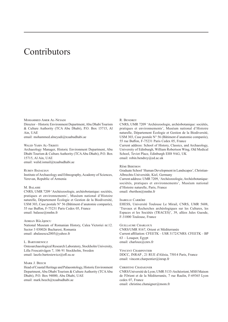### Contributors

#### Mohammed Amer Al-Neyadi

Director – Historic Environment Department, Abu Dhabi Tourism & Culture Authority (TCA Abu Dhabi), P.O. Box 15715, Al Ain, UAE

email: mohammed.alneyadi@tcaabudhabi.ae

#### Walid Yasin Al-Tikriti

Archaeology Manager, Historic Environment Department, Abu Dhabi Tourism & Culture Authority (TCA Abu Dhabi), P.O. Box 15715, Al Ain, UAE email: walid.ismail@tcaabudhabi.ae

#### Ruben Badalyan

Institute of Archaeology and Ethnography, Academy of Sciences, Yerevan, Republic of Armenia

#### M. BALASSE

CNRS, UMR 7209 'Archéozoologie, archéobotanique: sociétés, pratiques et environnements', Muséum national d'Histoire naturelle, Département Écologie et Gestion de la Biodiversité, USM 303, Case postale N° 56 (Bâtiment d'anatomie comparée), 55 rue Bufon, F-75231 Paris Cedex 05, France email: balasse@mnhn.fr

#### Adrian Bălăşescu

National Museum of Romanian History, Calea Victoriei nr.12. Sector 3 030026 Bucharest, Romania email: abalasescu2005@yahoo.fr

#### L. Bartosiewicz

Osteoarchaeological Research Laboratory, Stockholm University, Lilla Frescativägen 7, 106 91 Stockholm, Sweden email: laszlo.bartosiewicz@of.su.se

#### MARK J. BEECH

Head of Coastal Heritage and Palaeontology, Historic Environment Department, Abu Dhabi Tourism & Culture Authority (TCA Abu Dhabi), P.O. Box 94000, Abu Dhabi, UAE email: mark.beech@tcaabudhabi.ae

#### R. Bendrey

CNRS, UMR 7209 'Archéozoologie, archéobotanique: sociétés, pratiques et environnements', Muséum national d'Histoire naturelle, Département Écologie et Gestion de la Biodiversité, USM 303, Case postale N° 56 (Bâtiment d'anatomie comparée), 55 rue Bufon, F-75231 Paris Cedex 05, France

Current address: School of History, Classics, and Archaeology, University of Edinburgh, William Robertson Wing, Old Medical School, Teviot Place, Edinburgh EH8 9AG, UK email: robin.bendrey@ed.ac.uk

#### Rémi Berthon

Graduate School 'Human Development in Landscapes', Christian-Albrechts-Universität, Kiel, Germany

Current address: UMR 7209, 'Archéozoologie, Archéobotanique: sociétés, pratiques et environnements', Muséum national d'Histoire naturelle, Paris, France email: rberthon@mnhn.fr

#### Isabelle Carrère

EHESS, Université Toulouse Le Mirail, CNRS, UMR 5608, 'Travaux et Recherches archéologiques sur les Cultures, les Espaces et les Sociétés (TRACES)', 39, allées Jules Guesde, F-31000 Toulouse, France

GUILLAUME CHARLOUX CNRS/UMR 8167, Orient et Méditerranée Current afliation: CFEETK – USR 3172/CNRS. CFEETK – BP 63 – Louqsor, Egypt email: charloux@cnrs.fr

#### Vincent Charpentier

DDCC, INRAP , 21 RUE d'Alésia, 75014 Paris, France email: vincent.charpentier@inrap.fr

#### Christine Chataigner

CNRS/Université de Lyon; UMR 5133-Archéorient, MSH Maison de l'Orient et de la Méditerranée, 7 rue Raulin, F-69365 Lyon cedex 07, France email: christine.chataigner@mom.fr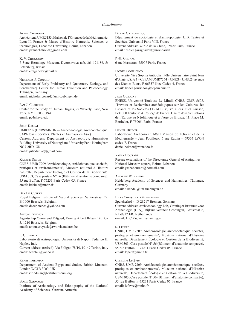#### Jwana Chahoud

Archéorient, UMR5133, Maison de l'Orient et de la Méditerranée, Lyon II, France & Musée d'Histoire Naturelle, Sciences et technologies, Lebanese University, Beirut, Lebanon email: jwanachahoud@gmail.com

#### K. V. Chugunov

7 State Hermitage Museum, Dvortsovaya nab. 36. 191186, St Petersburg, Russia email: chugunovk@mail.ru

#### Nicholas J. Conard

Department of Early Prehistory and Quaternary Ecology, and Senckenberg Center for Human Evolution and Paleoecology, Tübingen, Germany email: nicholas.conard@uni-tuebingen.de

Pam J. Crabtree

Center for the Study of Human Origins, 25 Waverly Place, New York, NY 10003, USA email: pc4@nyu.edu

#### J**ULIE DAUJAT**

UMR7209 (CNRS/MNHN) – Archéozoologie, Archéobotanique: SAPA team (Sociétés, Plantes et Animaux en Asie) Current Address: Department of Archaeology, Humanities Building, University of Nottingham, University Park, Nottingham NG7 2RD, UK

email: juliedaujat@gmail.com

#### Karyne Debue

CNRS, UMR 7209 'Archéozoologie, archéobotanique: sociétés, pratiques et environnements', Muséum national d'Histoire naturelle, Département Écologie et Gestion de la Biodiversité, USM 303, Case postale N° 56 (Bâtiment d'anatomie comparée), 55 rue Bufon, F-75231 Paris Cedex 05, France email: kdebue@mnhn.fr

#### Bea De Cupere

Royal Belgian Institute of Natural Sciences, Vautierstraat 29, B-1000 Brussels, Belgium email: decuperebea@yahoo.com

#### Anton Ervynck

Agentschap Onroerend Erfgoed, Koning Albert II-laan 19, Box 5, 1210 Brussels, Belgium email: anton.ervynck@rwo.vlaanderen.be

#### F. G. Fedele

Laboratorio di Antropologia, Università di Napoli Federico II, Naples, Italy Current address (retired): Via Foligno 78/10, 10149 Torino, Italy

email: fedele0@yahoo.it

#### Renée Friedman

Department of Ancient Egypt and Sudan, British Museum, London WC1B 3DG, UK email: rfriedman@britishmuseum.org

#### Boris Gasparyan

Institute of Archaeology and Ethnography of the National Academy of Sciences, Yerevan, Armenia

#### Didier Gazagnadou

Département de sociologie et d'anthropologie, UFR Textes et Sociétés, Université Paris VIII, France Current address: 32 rue de la Chine, 75020 Paris, France email : didier.gazagnadou@univ-paris8

P.-H. Giscard 6 rue Masseran, 75007 Paris, France

#### LIONEL GOURICHON

Université Nice Sophia Antipolis, Pôle Universitaire Saint Jean d'Angély, SJA 3 – CEPAM UMR7264 – CNRS – UNS, 24 avenue des Diables Bleus, F-06357 Nice Cedex 4, France email: lionel.gourichon@cepam.cnrs.fr

#### Jean Guilaine

EHESS, Université Toulouse Le Mirail, CNRS, UMR 5608, 'Travaux et Recherches archéologiques sur les Cultures, les Espaces et les Sociétés (TRACES)', 39, allées Jules Guesde, F-31000 Toulouse & Collège de France, Chaire des Civilisations de l'Europe au Néolithique et à l'Age du Bronze, 11, Place M. Berthelot, F-75005, Paris, France

#### Daniel Helmer

Laboratoire Archéorient, MSH Maison de l'Orient et de la Méditerranée – Jean Pouilloux, 7 rue Raulin – 69365 LYON cedex 7, France daniel.helmer@wanadoo.fr

#### YASHA HOURANI

Rescue excavations of the Directorate General of Antiquities National Museum square, Beirut, Lebanon email: yashahourani@hotmail.com

Andrew W. Kandel Heidelberg Academy of Sciences and Humanities, Tübingen, Germany email: a.kandel@uni-tuebingen.de

#### Hans Christian Küchelmann

Speicherhof 4, D-28217 Bremen, Germany Current address: Archaeozoology Lab, Groninger Instituut voor Archeologie (GIA), Rijksuniversiteit Groningen, Poststraat 6, NL-9712 ER, Netherlands e-mail: H.C.Kuchelmann@rug.nl

#### S. Lepetz

CNRS, UMR 7209 'Archéozoologie, archéobotanique: sociétés, pratiques et environnements', Muséum national d'Histoire naturelle, Département Écologie et Gestion de la Biodiversité, USM 303, Case postale N° 56 (Bâtiment d'anatomie comparée), 55 rue Bufon, F-75231 Paris Cedex 05, France email: lepetz@mnhn.fr

#### Christine Lefèvre

CNRS, UMR 7209 'Archéozoologie, archéobotanique: sociétés, pratiques et environnements', Muséum national d'Histoire naturelle, Département Écologie et Gestion de la Biodiversité, USM 303, Case postale N° 56 (Bâtiment d'anatomie comparée), 55 rue Bufon, F-75231 Paris Cedex 05, France email: lefevre@mnhn.fr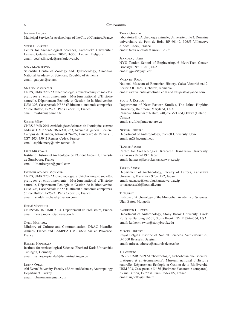#### x

#### *Contributors*

#### Jérémie Liagre Municipal Service for Archaeology of the City of Chartres, France

#### Veerle Linseele

Center for Archaeological Sciences, Katholieke Universiteit Leuven, Celestijnenlaan 200E, B-3001 Leuven, Belgium email: veerle.linseele@arts.kuleuven.be

#### Nina Manaseryan

Scientifc Centre of Zoology and Hydroecology, Armenian National Academy of Sciences, Republic of Armenia email: galoyan@sci.am

#### Marjan Mashkour

CNRS, UMR 7209 'Archéozoologie, archéobotanique: sociétés, pratiques et environnements', Muséum national d'Histoire naturelle, Département Écologie et Gestion de la Biodiversité, USM 303, Case postale N° 56 (Bâtiment d'anatomie comparée), 55 rue Bufon, F-75231 Paris Cedex 05, France email: mashkour@mnhn.fr

#### Sophie Méry

CNRS, UMR 7041 Archéologie et Sciences de l'Antiquité, current address: UMR 6566 CReAAH, 263, Avenue du général Leclerc, Campus de Beaulieu, bâtiment 24–25, Université de Rennes 1, CS74205, 35042 Rennes Cedex, France email: sophie.mery@univ-rennes1.fr

Lilit Mirzoyan

Institut d'Histoire et Archéologie de l'Orient Ancien, Université de Strasbourg, France email: lilit.mirzoyan@gmail.com

#### FATEMEH AZADEH MOHASEB

CNRS, UMR 7209 'Archéozoologie, archéobotanique: sociétés, pratiques et environnements', Muséum national d'Histoire naturelle, Département Écologie et Gestion de la Biodiversité, USM 303, Case postale N° 56 (Bâtiment d'anatomie comparée), 55 rue Bufon, F-75231 Paris Cedex 05, France email : azadeh\_mohaseb@yahoo.com

#### HERVÉ MONCHOT

CNRS/MNHN UMR 7194. Département de Préhistoire, France email : herve.monchot@wanadoo.fr

#### CYRIL MONTOYA

Ministry of Culture and Communication, DRAC Picardie, Amiens, France and LAMPEA UMR 6636 Aix en Provence, France

#### Hannes Napierala

Institute for Archaeological Science, Eberhard Karls Universität Tübingen, Germany

email: hannes.napierala@ifu.uni-tuebingen.de

#### LUBNA OMAR

Ahi Evran University, Faculty of Arts and Sciences, Anthropology Department. Turkey email: lubnaomar@gmail.com

#### TAREK OUESLATI

laboratoire BioArchéologie animale, Université Lille 3, Domaine universitaire du Pont de Bois, BP 60149, 59653 Villeneuve d'Ascq Cedex, France

email: tarek.oueslati at univ-lille3.fr

#### Jennifer J. Piro

NYU Tandon School of Engineering, 6 MetroTech Center, Brooklyn, NY 11201, USA email: jjp249@nyu.edu

#### Valentin Radu

National Museum of Romanian History, Calea Victoriei nr.12. Sector 3 030026 Bucharest, Romania email: raduvalentin@hotmail.com and valipeste@yahoo.com

#### SCOTT J. RUFOLO

Department of Near Eastern Studies, The Johns Hopkins University, Baltimore, Maryland, USA Canadian Museum of Nature, 240, rue McLeod, Ottawa (Ontario), Canada email: srufolo@mus-nature.ca

#### Nerissa Russell Department of Anthropology, Cornell University, USA email: nr29@cornell.edu

Hanase Sasaki Centre for Archaeological Research, Kanazawa University, Kanazawa 920–1192, Japan email: hanaesa@kenroku.kanazawa-u.ac.jp

#### TATSUO SASAKI

Department of Archaeology, Faculty of Letters, Kanazawa University, Kanazawa 920–1192, Japan email: tatsuosa@kenroku.kanazawa-u.ac.jp or tatsuosasaki@hotmail.com

#### **T. TURBAT**

Institute of Archaeology of the Mongolian Academy of Sciences, Ulan Bator, Mongolia

#### Katheryn C. Twiss

Department of Anthropology, Stony Brook University, Circle Rd, SBS Building S-501, Stony Brook, NY 11794-4364, USA email: katheryn.twiss@stonybrook.edu

#### Mircea Udrescu

Royal Belgian Institute of Natural Sciences, Vautierstraat 29, B-1000 Brussels, Belgium email: mircea.udrescu@naturalsciences.be

#### J. UGHETTO

CNRS, UMR 7209 'Archéozoologie, archéobotanique: sociétés, pratiques et environnements', Muséum national d'Histoire naturelle, Département Écologie et Gestion de la Biodiversité, USM 303, Case postale N° 56 (Bâtiment d'anatomie comparée), 55 rue Bufon, F-75231 Paris Cedex 05, France email: ughetto@mnhn.fr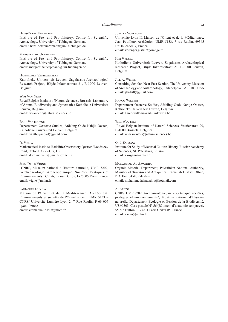#### Hans-Peter Uerpmann Institute of Pre- and Protohistory, Centre for Scientific Archaeology, University of Tübingen, Germany email : hans-peter.uerpmann@uni-tuebingen.de

#### Margarethe Uerpmann

Institute of Pre- and Protohistory, Centre for Scientific Archaeology, University of Tübingen, Germany email: margarethe.uerpmann@uni-tuebingen.de

#### Hannelore Vanhaverbeke

Katholieke Universiteit Leuven, Sagalassos Archaeological Research Project, Blijde Inkomststraat 21, B-3000 Leuven, Belgium

#### Wim Van Neer

Royal Belgian Institute of Natural Sciences, Brussels; Laboratory of Animal Biodiversity and Systematics Katholieke Universiteit Leuven, Belgium email: wvanneer@naturalsciences.be

#### Bart Vanthuyne

Departement Oosterse Studies, Afdeling Oude Nabije Oosten, Katholieke Universiteit Leuven, Belgium email: vanthuynebart@gmail.com

#### D. Vella

Mathematical Institute, Radclife Observatory Quarter, Woodstock Road, Oxford OX2 6GG, UK email: dominic.vella@maths.ox.ac.uk

#### JEAN-DENIS VIGNE

 CNRS, Muséum national d'Histoire naturelle, UMR 7209, 'Archéozoologie, Archéobotanique: Sociétés, Pratiques et Environnements', CP 56, 55 rue Buffon, F-75005 Paris, France email: vigne@mnhn.fr

#### Emmanuelle Vila

Maison de l'Orient et de la Méditerranée, Archéorient, Environnements et sociétés de l'Orient ancien, UMR 5133 – CNRS/ Université Lumière Lyon 2, 7 Rue Raulin, F-69 007 Lyon, France

email: emmanuelle.vila@mom.fr

#### Justine Vorenger

Université Lyon II, Maison de l'Orient et de la Méditerranée, Jean Pouilloux-Archéorient-UMR 5133, 7 rue Raulin, 69365 LYON cedex 7, France

email: vorenger.justine@orange.fr

#### Kim Vyncke

Katholieke Universiteit Leuven, Sagalassos Archaeological Research Project, Blijde Inkomststraat 21, B-3000 Leuven, Belgium

#### JILL A. WEBER

Consulting Scholar, Near East Section, The University Museum of Archaeology and Anthropology, Philadelphia, PA 19103, USA email: jllwbr8@gmail.com

#### Harco Willems

Departement Oosterse Studies, Afdeling Oude Nabije Oosten, Katholieke Universiteit Leuven, Belgium email: harco.willems@arts.kuleuven.be

#### WIM WOUTERS

 Royal Belgian Institute of Natural Sciences, Vautierstraat 29, B-1000 Brussels, Belgium email: wim.wouters@naturalsciences.be

#### G. I. ZAITSEVA

Institute for Study of Material Culture History, Russian Academy of Sciences, St. Petersburg, Russia email: zai-ganna@mail.ru

#### Mohammad Al-Zawahra

Organic Material Department, Palestinian National Authority, Ministry of Tourism and Antiquities, Ramallah District Office, P.O. Box 3458, Palestine email: mohammadalzawahra@hotmail.com

#### A. Zazzo

CNRS, UMR 7209 'Archéozoologie, archéobotanique: sociétés, pratiques et environnements', Muséum national d'Histoire naturelle, Département Écologie et Gestion de la Biodiversité, USM 303, Case postale N° 56 (Bâtiment d'anatomie comparée), 55 rue Bufon, F-75231 Paris Cedex 05, France email: zazzo@mnhn.fr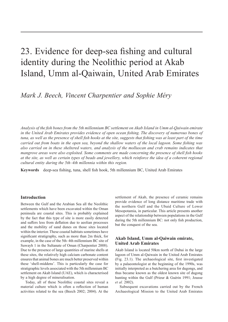# 23. Evidence for deep-sea fshing and cultural identity during the Neolithic period at Akab Island, Umm al-Qaiwain, United Arab Emirates

#### *Mark J. Beech, Vincent Charpentier and Sophie Méry*

*Analysis of the fish bones from the 5th millennium BC settlement on Akab Island in Umm al-Qaiwain emirate* in the United Arab Emirates provides evidence of open ocean fishing. The discovery of numerous bones of tuna, as well as the presence of shell fish hooks at the site, suggests that fishing was at least part of the time *carried out from boats in the open sea, beyond the shallow waters of the local lagoon. Some fishing was* also carried on in these sheltered waters, and analysis of the molluscan and crab remains indicates that *mangrove areas were also exploited. Some comments are made concerning the presence of shell fish hooks at the site, as well as certain types of beads and jewellery, which reinforce the idea of a coherent regional cultural entity during the 5th-4th millennia within this region.* 

**Keywords** deep-sea fshing, tuna, shell fsh hook, 5th millennium BC, United Arab Emirates

#### **Introduction**

Between the Gulf and the Arabian Sea all the Neolithic settlements which have been excavated within the Oman peninsula are coastal sites. This is probably explained by the fact that this type of site is more easily detected and sufers less from defation due to aeolian processes and the mobility of sand dunes on those sites located within the interior. These coastal habitats sometimes have signifcant stratigraphy, such as more than 2m thick, for example, in the case of the 5th–4th millennium BC site of Suwayh 1 in the Sultanate of Oman (Charpentier 2008). Due to the presence of large quantities of marine shells at these sites, the relatively high calcium carbonate content ensures that animal bones are much better preserved within these 'shell-middens'. This is particularly the case for stratigraphic levels associated with the 5th millennium BC settlement on Akab Island (UAE), which is characterised by a high degree of mineralisation.

Today, all of these Neolithic coastal sites reveal a material culture which is often a refection of human activities related to the sea (Beech 2002; 2004). At the

settlement of Akab, the presence of ceramic remains provide evidence of long distance maritime trade with the northern Gulf and the Ubaid Culture of Lower Mesopotamia, in particular. This article presents another aspect of the relationship between populations in the Gulf during the 5th millennium BC: not only fsh production, but the conquest of the sea.

#### **Akab Island, Umm al-Qaiwain emirate, United Arab Emirates**

Akab Island is located 50km north of Dubai in the large lagoon of Umm al-Qaiwain in the United Arab Emirates (Fig. 23.1). The archaeological site, frst investigated by a palaeontologist at the beginning of the 1990s, was initially interpreted as a butchering area for dugongs, and thus became known as the oldest known site of dugong hunting within the Gulf (Prieur & Guérin 1991; Jousse *et al.* 2002).

Subsequent excavations carried out by the French Archaeological Mission to the United Arab Emirates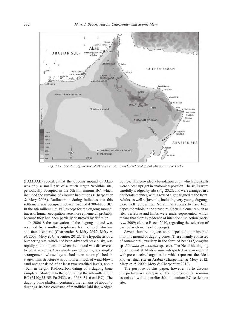

*Fig. 23.1. Location of the site of Akab (source: French Archaeological Mission in the UAE).* 

(FAMUAE) revealed that the dugong mound of Akab was only a small part of a much larger Neolithic site, periodically occupied in the 5th millennium BC, which included the remains of circular habitations (Charpentier & Méry 2008). Radiocarbon dating indicates that this settlement was occupied between around 4700–4100 BC. In the 4th millennium BC, except for the dugong mound, traces of human occupation were more ephemeral, probably because they had been partially destroyed by defation.

In 2006–8 the excavation of the dugong mound was resumed by a multi-disciplinary team of prehistorians and faunal experts (Charpentier & Méry 2012; Méry *et al*. 2009, Méry & Charpentier 2012). The hypothesis of a butchering site, which had been advanced previously, was rapidly put into question when the mound was discovered to be a *structured* accumulation of bones, a complex arrangement whose layout had been accomplished in stages. This structure was built on a hillock of wind-blown sand and consisted of at least two stratifed levels, about 40cm in height. Radiocarbon dating of a dugong bone sample attributed it to the 2nd half of the 4th millennium BC (5140+55 BP, Pa-2433, ca. 3568–3116 cal BC). The dugong bone platform contained the remains of about 40 dugongs. Its base consisted of mandibles laid fat, wedged

by ribs. This provided a foundation upon which the skulls were placed upright in anatomical position. The skulls were carefully wedged by ribs (Fig. 23.2), and were arranged in a deliberate manner, with a row of eight aligned at the front. Adults, as well as juvenile, including very young, dugongs were well represented. No animal appears to have been deposited whole in the structure. Certain elements such as ribs, vertebrae and limbs were under-represented, which means that there is evidence of intentional selection (Méry *et al* 2009; cf. also Beech 2010, regarding the selection of particular elements of dugongs).

Several hundred objects were deposited in or inserted into this mound of dugong bones. These mainly consisted of ornamental jewellery in the form of beads (*Spondylus* sp*, Pinctada sp.*, *Ancilla* sp., etc). The Neolithic dugong bone mound at Akab is now interpreted as a monument with pre-conceived organisation which represents the oldest known ritual site in Arabia (Charpentier & Méry 2012; Méry *et al*. 2009; Méry & Charpentier 2012).

The purpose of this paper, however, is to discuss the preliminary analysis of the environmental remains associated with the earlier 5th millennium BC settlement site.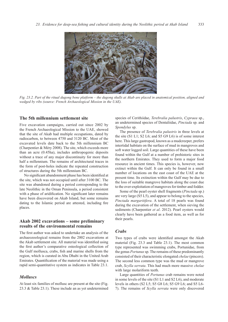

*Fig. 23.2. Part of the ritual dugong bone platform – the dugong skulls at Akab are placed in anatomical position, aligned and wedged by ribs (source: French Archaeological Mission in the UAE).* 

#### **The 5th millennium settlement site**

Five excavation campaigns, carried out since 2002 by the French Archaeological Mission to the UAE, showed that the site of Akab had multiple occupations, dated by radiocarbon, to between 4750 and 3120 BC. Most of the excavated levels date back to the 5th millennium BC (Charpentier & Méry 2008). The site, which exceeds more than an acre (0.45ha), includes anthropogenic deposits without a trace of any major discontinuity for more than half a millennium. The remains of architectural traces in the form of post-holes indicate the repeated construction of structures during the 5th millennium BC.

No signifcant abandonment phase has been identifed at the site, which was not occupied until after 3100 BC. The site was abandoned during a period corresponding to the late Neolithic in the Oman Peninsula, a period consistent with a phase of aridifcation. No signifcant later remains have been discovered on Akab Island, but some remains dating to the Islamic period are attested, including fre places.

#### **Akab 2002 excavations – some preliminary results of the environmental remains**

The frst author was asked to undertake an analysis of the archaeozoological remains from the 2002 excavations at the Akab settlement site. All material was identifed using the frst author's comparative osteological collection of the Gulf mollusca, crabs, fsh and marine shells from the region, which is curated in Abu Dhabi in the United Arab Emirates. Quantifcation of the material was made using a rapid semi-quantitative system as indicates in Table 23.1.

#### *Molluscs*

At least six families of mollusc are present at the site (Fig. 23.3 & Table 23.1). These include an as yet undetermined species of Cerithiidae, *Terebralia palustris*, *Cypraea* sp., an undetermined species of Dentaliidae, *Pinctada* sp. and *Spondylus* sp.

The presence of *Terebralia palustris* in three levels at the site (S1 L1; S2 L6; and S5 G9 L6) is of some interest here. This large gastropod, known as a mudcreeper, prefers intertidal habitats on the surface of mud in mangroves and soft water logged soil. Large quantities of these have been found within the Gulf at a number of prehistoric sites in the northern Emirates. They used to form a major food resource in ancient times. This species is, however, now extinct within the Gulf. It can only be found in a small number of locations on the east coast of the UAE at the present time. Its extinction within the Gulf may be due to the loss of suitable mangrove habitats along the coast due to the over-exploitation of mangroves for timber and fodder.

Some of the pearl oyster shell fragments (*Pinctada* sp.) are very large (S5 L5), and appear to belong to the species, *3inctada margaritifera*. A total of 18 pearls was found during the excavation of the settlement, when sieving the sediments (Charpentier *et al*. 2012). Pearl oysters would clearly have been gathered as a food item, as well as for their pearls.

#### *Crabs*

Two types of crabs were identifed amongst the Akab material (Fig. 23.3 and Table 23.1). The most common type represented was swimming crabs, Portunidae, from the genus *Portunus* sp. The remains of these predominantly consisted of their characteristic elongated *chelae* (pincers). The second less common type was the mud or mangrove crab, *Scylla serrata*. This had much more massive *chelae* with large molariform teeth.

Large quantities of *Portunus* crab remains were noted in some levels of the site (S1 L1 and S2 L6), and moderate levels in others (S2 L5; S5 G8 L6; S5 G9 L6; and S5 L6- 7). The remains of *Scylla serrata* were only discovered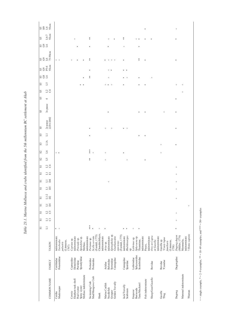|                                    |                            |                                                                 | 51               | 51             | 51             | $\overline{S}$                            | 51             | 51                     | $\overline{S}$  | 51          | 51                                        | S <sub>2</sub>       | S <sub>2</sub> | S5<br>S3                          | SS                         | SS.                | S5            | SS     | S5          |         |                     |                                |               | S5                   |                |
|------------------------------------|----------------------------|-----------------------------------------------------------------|------------------|----------------|----------------|-------------------------------------------|----------------|------------------------|-----------------|-------------|-------------------------------------------|----------------------|----------------|-----------------------------------|----------------------------|--------------------|---------------|--------|-------------|---------|---------------------|--------------------------------|---------------|----------------------|----------------|
| COMMON NAME                        | <b>FAMILY</b>              | <b>TAXON</b>                                                    | $\Box$           | $\overline{a}$ | $\mathfrak{Q}$ | $\overline{\square} \ \overline{\square}$ | $L1-2$<br>$D2$ | $\square$<br>$\square$ | $\Xi$ $\Xi$     | $\Xi \ \Xi$ | $\ensuremath{\mathop{\mathbb{Z}}}\xspace$ | $\tilde{c}$          | $\mathbb{L}6$  | $\Box$<br>$\mathbb{L}1\mathbb{A}$ | $2e$ passe<br>$22/01/2002$ |                    | 4<br>3e passe | $23$   | $\tilde{c}$ | នីំ និង | ន<br>ទី ១ ១<br>ទី ១ | S5<br>G9<br>J5-90cm<br>75-90cm | 9<br>SS<br>SS | 93cm<br>$\sqrt{6-7}$ | 93cm<br>នី មិន |
| Mudcreeper<br>Ceriths              | Potamididae<br>Cerithiidae | indeterminate<br>Terebralia<br>(Linnaeus,<br>palustris<br>1767) | $\divideontimes$ |                |                |                                           |                |                        |                 |             |                                           |                      | $+ *$          |                                   |                            |                    |               |        |             |         |                     | $\qquad \qquad +$<br>$^{+}$    |               |                      |                |
| Elephant tusk shell<br>Cowrie      | Cypraeidae<br>Dentaliidae  | indeterminate<br>Cypraea sp.                                    |                  |                |                |                                           |                |                        |                 |             |                                           |                      |                |                                   |                            |                    |               |        |             |         |                     | $^{+}$                         |               |                      |                |
| Spiny oyster<br>Pearl oyster       | Spondylidae<br>Pteriidae   | Spondylus sp.<br>Pinctada sp.                                   |                  |                |                |                                           |                |                        |                 |             |                                           |                      |                |                                   |                            |                    |               |        |             | ₩       |                     | ₩<br>$\frac{1}{2}$             | ⋇             |                      |                |
| Mollusc indeterminate              |                            | indeterminate<br>Mollusc,                                       |                  |                |                |                                           |                |                        |                 |             |                                           |                      |                |                                   |                            |                    |               |        |             |         |                     |                                |               |                      |                |
| Mud/Mangrove Crab<br>Swimming Crab | Portunidae<br>Portunidae   | Scylla serrata<br>Portunus sp.                                  | $***$<br>$\ast$  |                |                |                                           |                |                        |                 |             |                                           | $\stackrel{*}{\ast}$ | $^{+}$         | ₩                                 |                            |                    |               |        |             | $*$     | ₩                   |                                |               | $*$                  |                |
| Shark                              |                            | Chondrichthyes,<br>(Forskål, 1775)                              | $^{+}$           |                |                |                                           |                |                        |                 |             |                                           |                      |                |                                   |                            |                    |               |        |             |         |                     |                                |               |                      |                |
|                                    |                            | indeterminate                                                   |                  |                |                |                                           |                |                        |                 |             |                                           |                      |                |                                   |                            |                    |               |        |             |         |                     |                                |               |                      |                |
| Marine Catfish                     | Ariidae                    | Arius sp.                                                       | ₩                |                |                |                                           |                |                        |                 |             |                                           | $^{+}$               | $^{+}$         |                                   | $\hspace{0.1mm} +$         |                    |               |        |             |         |                     |                                |               |                      |                |
| Needlefish                         | Belonidae                  | indeterminate                                                   |                  |                |                |                                           |                |                        |                 |             |                                           |                      |                |                                   |                            |                    |               |        |             | $^{+}$  | $^{+}$              |                                |               | $^{+}$               |                |
| Grouper                            | Serranidae                 | Epinephelus sp.                                                 |                  |                |                |                                           |                |                        |                 |             |                                           |                      |                |                                   |                            |                    |               |        | $^{+}$      |         |                     | $^{+}$                         |               |                      |                |
| Golden Trevally                    | Carangidae                 | Gnathanodon                                                     |                  |                |                |                                           |                |                        |                 |             |                                           |                      |                |                                   |                            |                    |               |        |             |         |                     | $^{+}$                         |               |                      |                |
|                                    |                            | (Forskål, 1775)<br>speciosus                                    |                  |                |                |                                           |                |                        |                 |             |                                           |                      |                |                                   |                            |                    |               |        |             |         |                     |                                |               |                      |                |
| Jack/Trevally                      | Carangidae                 | indeterminate                                                   | ₩                |                |                |                                           |                |                        |                 |             |                                           |                      | ₩              |                                   |                            |                    |               |        |             |         |                     | $\ast$                         | $^+$          |                      |                |
| Seabream                           | Sparidae                   | Rhabdosargus                                                    | $*$              |                |                |                                           |                |                        |                 |             |                                           | $^{+}$               |                |                                   |                            |                    |               |        |             |         |                     |                                |               |                      |                |
|                                    |                            | sp.                                                             |                  |                |                |                                           |                |                        |                 |             |                                           |                      |                |                                   |                            |                    |               |        |             |         |                     |                                |               |                      |                |
| Emperor                            | Lethrinidae                | Lethrinus sp.                                                   | $^{+}$           |                |                |                                           |                |                        |                 |             |                                           |                      |                |                                   |                            |                    |               |        |             |         |                     |                                |               |                      |                |
| Tuna/Mackerel<br>Barracuda         | Sphyraenidae<br>Scombridae | Sphyraena sp.<br>Thumninae,                                     | $\ast$           |                |                |                                           |                |                        |                 |             |                                           |                      |                |                                   |                            |                    |               |        |             |         |                     | $* *$                          | ¥             | $+ *$                |                |
|                                    |                            | indeterminate                                                   |                  |                |                |                                           |                |                        |                 |             |                                           |                      |                |                                   |                            |                    |               |        |             |         |                     |                                |               |                      |                |
| Fish indeterminate                 |                            | Pisces,                                                         |                  |                |                |                                           |                |                        |                 |             |                                           |                      |                |                                   |                            |                    |               |        |             |         |                     |                                |               |                      | ₩              |
|                                    |                            | indeterminate                                                   |                  |                |                |                                           |                |                        |                 |             |                                           |                      |                |                                   |                            |                    |               |        |             |         |                     |                                |               |                      |                |
| Sheep/Goat/Gazelle                 | Bovidae                    | Ovis or Capra<br>indeterminate<br>or Gazella                    |                  |                |                |                                           |                |                        |                 |             |                                           |                      |                |                                   |                            |                    |               |        |             | $^{+}$  |                     |                                |               |                      |                |
| Gazelle                            | Bovidae                    | Gazella sp.                                                     |                  |                |                |                                           |                |                        |                 |             |                                           |                      | $^{+}$         |                                   |                            |                    |               |        |             |         |                     |                                |               |                      |                |
| $\rm 200\,$                        | ?Canidae                   | ?Canis lupus<br>familiaris                                      |                  |                |                |                                           |                |                        |                 |             |                                           |                      |                |                                   |                            | $\hspace{0.1mm} +$ |               |        |             |         |                     |                                |               |                      |                |
|                                    |                            | (Linnaeus,<br>1758)                                             |                  |                |                |                                           |                |                        |                 |             |                                           |                      |                |                                   |                            |                    |               |        |             |         |                     |                                |               |                      |                |
| Dugong                             | Dugongidae                 | Dugong dugon<br>(Müller, 1776)                                  | ₩                | $^{+}$         | $^{+}$         |                                           | $^{+}$         | $\qquad \qquad +$      | $\! + \!\!\!\!$ | $^{+}$      | $^{+}$                                    |                      |                |                                   |                            |                    | ₩             |        | $^{+}$      |         |                     | ₩                              |               | ₩                    | $^{+}$         |
| Mammal indeterminate               |                            | indeterminate<br>Mammalia,                                      |                  |                |                |                                           |                |                        |                 |             |                                           |                      |                |                                   |                            |                    |               | $^{+}$ | $^+$        |         |                     |                                |               |                      |                |
| ?Human                             |                            | ? Homo sapiens                                                  |                  |                |                | $^{+}$                                    |                |                        |                 |             |                                           |                      |                |                                   |                            |                    |               |        |             |         |                     |                                |               |                      |                |

Table 23.1. Marine Mollusca and crabs identified from the 5th millennium BC settlement at Akab *Table .. Marine Mollusca and crabs identi¿ed from the th millennium BC settlement at Akab*

 $+$  = single example, \* = 2-9 examples, \*\* = 10-49 examples, and \*\*\* = 50+ examples  $+$  = single example,  $*$  = 2–9 examples,  $**$  = 10–49 examples, and  $***$  = 50+ examples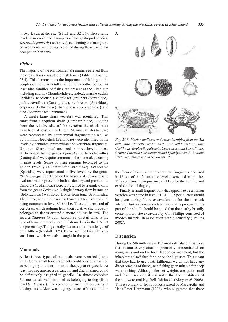in two levels at the site (S1 L1 and S2 L6). These same levels also contained examples of the gastropod species, *Terebralia palustris* (see above), confrming that mangrove environments were being exploited during these particular occupation horizons.

#### *Fishes*

The majority of the environmental remains retrieved from the excavations consisted of fsh bones (Table 23.1 & Fig. 23.4). This demonstrates the importance of fshing to the peoples of the lower Gulf during the Neolithic period. At least nine families of fshes are present at the Akab site including sharks (Chondrichthyes, indet.), marine catfsh (Ariidae), needlefsh (Belonidae), groupers (Serranidae), jacks/trevallies (Carangidae), seabream (Sparidae), emperors (Lethrinidae), barracudas (Sphyraenidae) and tuna (Scombridae: Thunninae).

A single large shark vertebra was identified. This came from a requiem shark (Carcharhinidae). Judging from the relative sise of the vertebra the shark must have been at least 2m in length. Marine catfsh (Ariidae) were represented by neurocranial fragments as well as by otoliths. Needlefsh (Belonidae) were identifed in six levels by dentaries, premaxillae and vertebrae fragments. Groupers (Serranidae) occurred in three levels. These all belonged to the genus *Epinephelus*. Jacks/trevallies (Carangidae) were quite common in the material, occurring in nine levels. Some of these remains belonged to the golden trevally (*Gnathanodon speciosus*). Seabreams (Sparidae) were represented in fve levels by the genus *Rhabdosargus*, identifed on the basis of its characteristic oval rear molar, present in both its dentary and premaxilla. Emperors (Lethrinidae) were represented by a single otolith from the genus *Lethrinus*. A single dentary from barracuda (Sphyraenidae) was noted. Bones from tuna (Scombridae: Thunninae) occurred in no less than eight levels at the site, being common in level S5 G9 L6. These all consisted of vertebrae, which judging from their relative sise probably belonged to fshes around a metre or less in size. The species *Thunnus tonggol*, known as longtail tuna, is the type of tuna commonly sold in fsh markets in the UAE at the present day. This generally attains a maximum length of only 140cm (Randall 1995). It may well be this relatively small tuna which was also caught in the past.

#### **Mammals**

At least three types of mammals were recorded (Table 23.1). Some small bone fragments could only be classifed as belonging to either domestic sheep/goat or gazelle. At least two specimens, a calcaneum and 2nd phalanx, could be defnitively assigned to gazelle. An almost complete 3rd metatarsal was identifed as belonging to dog (from level S5  $3<sup>e</sup>$  passe). The commonest mammal occurring in the deposits at Akab was dugong. Traces of this animal in



Fig. 23.3. Marine molluscs and crabs identified from the 5th *millennium BC settlement at Akab. From left to right: A. Top: Cerithium, Terebralia palustris, Cypraea sp. and Dentaliidae Centre: Pinctada margaritifera and Spondylus sp. B. Bottom: 3ortunus pelagicus and Scylla serrata.*

the form of skull, rib and vertebrae fragments occurred in 16 out of the 24 units or levels excavated at the site. This confrms the importance of Akab for the hunting and exploitation of dugong.

Finally, a small fragment of what appears to be a human vertebra was noted in level S1 L1 D1. Special care should be given during future excavations at the site to check whether further human skeletal material is present in this part of the site. It should be noted that the nearby broadly contemporary site excavated by Carl Phillips consisted of midden material in association with a cemetery (Phillips 2002).

#### **Discussion**

During the 5th millennium BC on Akab Island, it is clear that resource exploitation primarily concentrated on mangroves and on the local lagoon environment, but the inhabitants also fshed for tuna on the high seas. This meant that they had to use boats (although we do not have any direct remains of these), and fishing gear suitable for deep water fshing. Although the net weights are quite small and few in number, it was noted that the inhabitants of the site were making shell fsh hooks (Mery *et al*. 2008). This is contrary to the hypothesis raised by Margarethe and Hans-Peter Uerpmann (1996), who suggested that these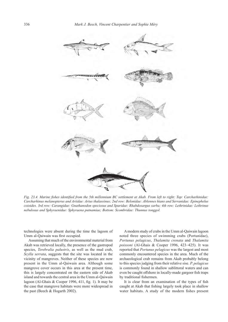

*Fig. 23.4. Marine fishes identified from the 5th millennium BC settlement at Akab. From left to right: Top: Carcharhinidae: Carcharhinus melanopterus and Ariidae: Arius thalassinus; 2nd row: Belonidae: Ablennes hians and Serranidae: Epinephelus coioides. 3rd row: Carangidae: Gnathanodon speciosus and Sparidae: Rhabdosargus sarba; 4th row: Lethrinidae: Lethrinus* nebulosus and Sphyraenidae: Sphyraena putnamiae; Bottom: Scombridae: Thunnus tonggol.

technologies were absent during the time the lagoon of Umm al-Qaiwain was frst occupied.

Assuming that much of the environmental material from Akab was retrieved locally, the presence of the gastropod species, *Terebralia palustris*, as well as the mud crab, *Scylla serrata*, suggests that the site was located in the vicinity of mangroves. Neither of these species are now present in the Umm al-Qaiwain area. Although some mangrove cover occurs in this area at the present time, this is largely concentrated on the eastern side of Akab island and towards the central area in the Umm al-Qaiwain lagoon (Al-Ghais & Cooper 1996, 411, fg. 1). It may be the case that mangrove habitats were more widespread in the past (Beech & Hogarth 2002).

A modern study of crabs in the Umm al-Qaiwain lagoon noted three species of swimming crabs (Portunidae), *3ortunus pelagicus*, *Thalamita crenata* and *Thalamita poissoni* (Al-Ghais & Cooper 1996, 423–425). It was reported that *Portunus pelagicus* was the largest and most commonly encountered species in the area. Much of the archaeological crab remains from Akab probably belong to this species judging from their relative sise. *P. pelagicus* is commonly found in shallow sublittoral waters and can even be caught offshore in locally-made gargoor fish traps by traditional fshermen.

It is clear from an examination of the types of fish caught at Akab that fshing largely took place in shallow water habitats. A study of the modern fshes present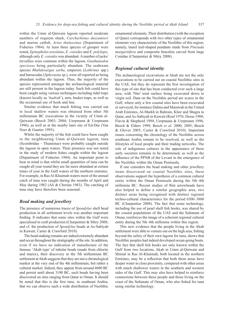within the Umm al-Qaiwain lagoon reported moderate numbers of requiem shark, *Carcharhinus dussumieri* and marine catfsh, *Arius thalassinus* (Department of Fisheries 1984). At least three species of grouper were noted, *Epinephelus areolatus*, *E. coioides* and *E. polylepis*, although only *E. coioides* was abundant. A number of jacks/ trevallies were common within the lagoon, *Gnathanodon speciosus* being particularly abundant. The seabream species *Rhabdosargus sarba*, emperors (*Lethrinus* spp.) and barracudas (*Sphyraena* sp.), were all reported as being abundant within the lagoon. Thus, the majority of the species represented amongst the archaeological material are still present in the lagoon today. Such fish could have been caught using various techniques including tidal traps (known locally as '*hadrah*'), nets, basket traps, as well as the occasional use of hook and line.

Similar evidence that much fshing was carried out in local shallow waters was obtained from other 5th millennium BC excavations in the vicinity of Umm al-Qaiwain (Beech 2003; 2004; Uerpmann & Uerpmann 1996), as well as at the nearby later site of Ed-Dur (Van Neer & Gautier 1993).

Whilst the majority of the fsh could have been caught in the neighbouring Umm al-Qaiwain lagoon, tuna (Scombridae – Thunninae) were probably caught outside the lagoon in open waters. Their presence was not noted in the study of modern fshes caught within the lagoon (Department of Fisheries 1984). An important point to bear in mind is that whilst small quantities of tuna can be caught all year round they are far more abundant at certain times of year in the Gulf waters of the northern emirates. For example, in Ras Al-Khaimah waters most of the annual catch of tuna was caught during the months of April and May during 1982 (Ali & Cherian 1983). The catching of tuna may have therefore been seasonal.

#### *Bead making and jewellery*

The presence of numerous traces of *Spondylus* shell bead production in all settlement levels was another important fnding. It indicates that some sites within the Gulf were specialised in craft production (Charpentier & Méry 2008; and cf. the production of *Spondylus* beads at As-Sabiyah in Kuwait; Carter & Crawford 2010).

The bead-making remains are indeed extremely abundant and occur throughout the stratigraphy of the site. In addition, even if we have no indication of manufacture of the famous 'Akab type' of tubular beads (made from chlorite and murex), their discovery in the 5th millennium BC settlement at Akab suggests that they are not a chronological marker at the very end of the 4th millennium, but rather a cultural marker. Indeed, they appear from around 4600 BC and persist until about 3100 BC, such beads having been discovered on sites ranging from Qatar to Oman. It should be noted that this is the frst time, in southeast Arabia, that we can observe such a wide distribution of Neolithic

ornamental elements. Their distribution (with the exception of Qatar) corresponds with two other types of ornamental elements very characteristic of the Neolithic of this region; namely, laurel leaf-shaped pendants made from *Pinctada margaritifera* and composite bracelets carved from large Conidae (Charpentier & Méry 2008).

#### *Regional cultural identity*

The archaeological excavations at Akab are not the only excavations to be carried out on coastal Neolithic sites in the UAE, but they do represent the frst investigation of this type of site that has been conducted over such a large area, with 70m<sup>2</sup> total surface being excavated down to virgin soil. Data on the Neolithic period are scarce in the Gulf, where only a few coastal sites have been excavated or surveyed, for instance Dalma and Marawah in the United Arab Emirates, Al-Markh in Bahrain, Khor and Shagra in Qatar, and As-Sabiyah in Kuwait (Roaf 1976; Desse 1988; Flavin & Shepherd 1994; Uerpmann & Uerpmann 1996; Beech & Elders 1999; Beech *et al.* 2000; 2005; Beech & Glover 2005; Carter & Crawford 2010). Important issues concerning the chronology of the Neolithic across southeast Arabia remain to be resolved, as well as the lifestyles of local people and their trading networks. The role of indigenous cultures in the appearance of these early societies remains to be determined, as well as the infuence of the PPNB of the Levant in the emergence of the Neolithic within the Oman Peninsula.

If one considers the bead making and other jewellery items discovered on coastal Neolithic sites, these observations support the hypothesis of a common cultural entity within the Oman Peninsula during the 5th–4th millennia BC. Recent studies of fint arrowheads have also helped to defne a similar geographic area, two distinct areas being recognised with distinct regional techno-cultural characteristics for the period 6500–3800 BC (Charpentier 2008). The fact that some technology, including the use of pearl shell fsh hooks, was shared by the coastal populations of the UAE and the Sultanate of Oman, reinforces the image of a coherent regional cultural entity during the 5th–4th millennia within this region.

This new evidence that the people living in the Akab settlement were able to venture out on the high seas, fshing beyond the safety of their own lagoon for tuna, shows that Neolithic peoples had indeed developed ocean-going boats. The fact that shell fsh hooks are only known within the Gulf from two locations, Akab in Umm al-Qaiwain and Shimal in Ras Al-Khaimah, both located in the northern Emirates, may be a refection that both these areas have deeper water in close proximity, compared with other areas with much shallower waters in the southern and western sides of the Gulf. This may also have helped to reinforce connections between these people and those living on the coast of the Sultanate of Oman, who also fshed for tuna using similar technology.